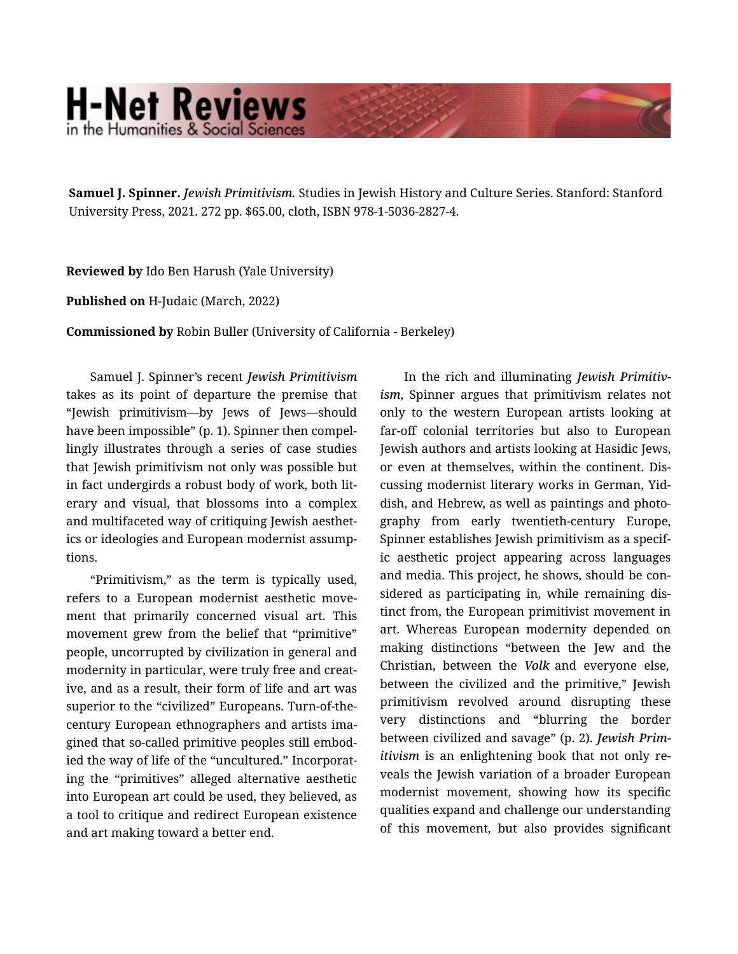## **H-Net Reviews** in the Humanities & Social Scienc

**Samuel J. Spinner.** *Jewish Primitivism.* Studies in Jewish History and Culture Series. Stanford: Stanford University Press, 2021. 272 pp. \$65.00, cloth, ISBN 978-1-5036-2827-4.

**Reviewed by** Ido Ben Harush (Yale University)

**Published on** H-Judaic (March, 2022)

**Commissioned by** Robin Buller (University of California - Berkeley)

Samuel J. Spinner's recent *Jewish Primitivism* takes as its point of departure the premise that "Jewish primitivism—by Jews of Jews—should have been impossible" (p. 1). Spinner then compellingly illustrates through a series of case studies that Jewish primitivism not only was possible but in fact undergirds a robust body of work, both lit‐ erary and visual, that blossoms into a complex and multifaceted way of critiquing Jewish aesthet‐ ics or ideologies and European modernist assump‐ tions.

"Primitivism," as the term is typically used, refers to a European modernist aesthetic move‐ ment that primarily concerned visual art. This movement grew from the belief that "primitive" people, uncorrupted by civilization in general and modernity in particular, were truly free and creat‐ ive, and as a result, their form of life and art was superior to the "civilized" Europeans. Turn-of-thecentury European ethnographers and artists ima‐ gined that so-called primitive peoples still embod‐ ied the way of life of the "uncultured." Incorporating the "primitives" alleged alternative aesthetic into European art could be used, they believed, as a tool to critique and redirect European existence and art making toward a better end.

In the rich and illuminating *Jewish Primitiv‐ ism*, Spinner argues that primitivism relates not only to the western European artists looking at far-off colonial territories but also to European Jewish authors and artists looking at Hasidic Jews, or even at themselves, within the continent. Dis‐ cussing modernist literary works in German, Yid‐ dish, and Hebrew, as well as paintings and photo‐ graphy from early twentieth-century Europe, Spinner establishes Jewish primitivism as a specif‐ ic aesthetic project appearing across languages and media. This project, he shows, should be con‐ sidered as participating in, while remaining dis‐ tinct from, the European primitivist movement in art. Whereas European modernity depended on making distinctions "between the Jew and the Christian, between the *Volk* and everyone else, between the civilized and the primitive," Jewish primitivism revolved around disrupting these very distinctions and "blurring the border between civilized and savage" (p. 2). *Jewish Prim‐ itivism* is an enlightening book that not only reveals the Jewish variation of a broader European modernist movement, showing how its specific qualities expand and challenge our understanding of this movement, but also provides significant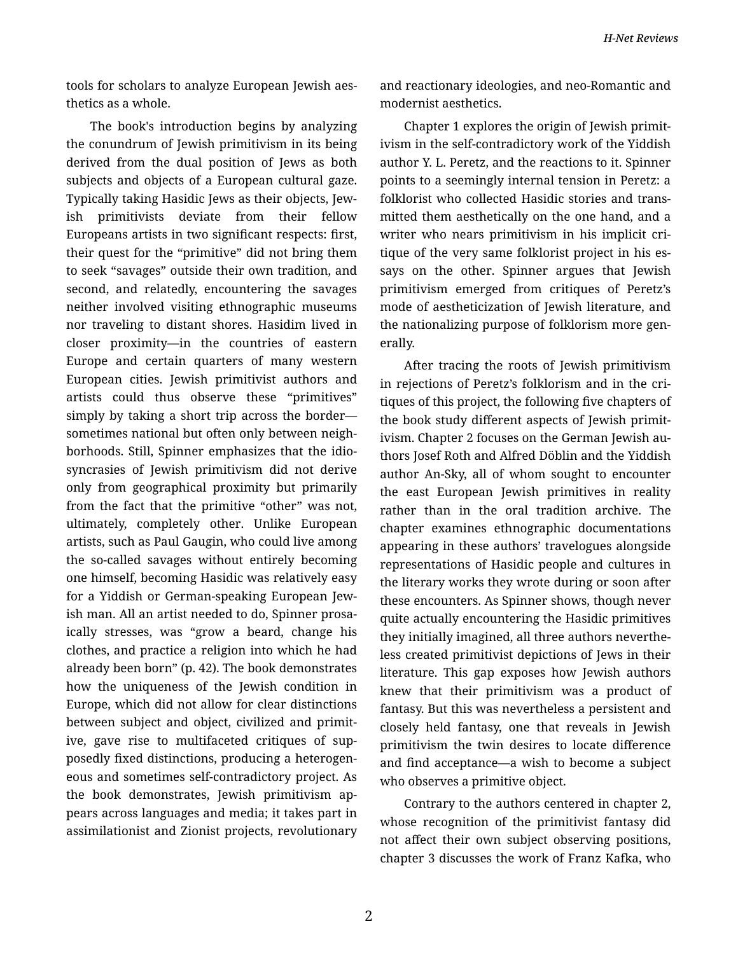tools for scholars to analyze European Jewish aes‐ thetics as a whole.

The book's introduction begins by analyzing the conundrum of Jewish primitivism in its being derived from the dual position of Jews as both subjects and objects of a European cultural gaze. Typically taking Hasidic Jews as their objects, Jew‐ ish primitivists deviate from their fellow Europeans artists in two significant respects: first, their quest for the "primitive" did not bring them to seek "savages" outside their own tradition, and second, and relatedly, encountering the savages neither involved visiting ethnographic museums nor traveling to distant shores. Hasidim lived in closer proximity—in the countries of eastern Europe and certain quarters of many western European cities. Jewish primitivist authors and artists could thus observe these "primitives" simply by taking a short trip across the border sometimes national but often only between neigh‐ borhoods. Still, Spinner emphasizes that the idio‐ syncrasies of Jewish primitivism did not derive only from geographical proximity but primarily from the fact that the primitive "other" was not, ultimately, completely other. Unlike European artists, such as Paul Gaugin, who could live among the so-called savages without entirely becoming one himself, becoming Hasidic was relatively easy for a Yiddish or German-speaking European Jew‐ ish man. All an artist needed to do, Spinner prosa‐ ically stresses, was "grow a beard, change his clothes, and practice a religion into which he had already been born" (p. 42). The book demonstrates how the uniqueness of the Jewish condition in Europe, which did not allow for clear distinctions between subject and object, civilized and primit‐ ive, gave rise to multifaceted critiques of sup‐ posedly fixed distinctions, producing a heterogen‐ eous and sometimes self-contradictory project. As the book demonstrates, Jewish primitivism ap‐ pears across languages and media; it takes part in assimilationist and Zionist projects, revolutionary

and reactionary ideologies, and neo-Romantic and modernist aesthetics.

Chapter 1 explores the origin of Jewish primit‐ ivism in the self-contradictory work of the Yiddish author Y. L. Peretz, and the reactions to it. Spinner points to a seemingly internal tension in Peretz: a folklorist who collected Hasidic stories and trans‐ mitted them aesthetically on the one hand, and a writer who nears primitivism in his implicit critique of the very same folklorist project in his es‐ says on the other. Spinner argues that Jewish primitivism emerged from critiques of Peretz's mode of aestheticization of Jewish literature, and the nationalizing purpose of folklorism more gen‐ erally.

After tracing the roots of Jewish primitivism in rejections of Peretz's folklorism and in the cri‐ tiques of this project, the following five chapters of the book study different aspects of Jewish primit‐ ivism. Chapter 2 focuses on the German Jewish authors Josef Roth and Alfred Döblin and the Yiddish author An-Sky, all of whom sought to encounter the east European Jewish primitives in reality rather than in the oral tradition archive. The chapter examines ethnographic documentations appearing in these authors' travelogues alongside representations of Hasidic people and cultures in the literary works they wrote during or soon after these encounters. As Spinner shows, though never quite actually encountering the Hasidic primitives they initially imagined, all three authors neverthe‐ less created primitivist depictions of Jews in their literature. This gap exposes how Jewish authors knew that their primitivism was a product of fantasy. But this was nevertheless a persistent and closely held fantasy, one that reveals in Jewish primitivism the twin desires to locate difference and find acceptance—a wish to become a subject who observes a primitive object.

Contrary to the authors centered in chapter 2, whose recognition of the primitivist fantasy did not affect their own subject observing positions, chapter 3 discusses the work of Franz Kafka, who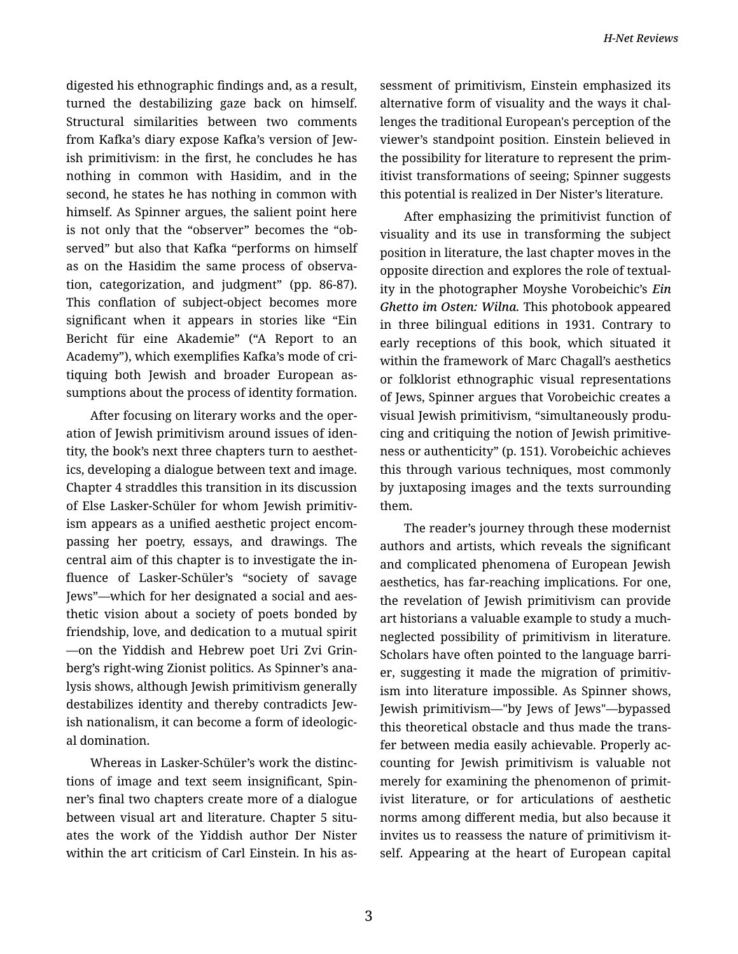digested his ethnographic findings and, as a result, turned the destabilizing gaze back on himself. Structural similarities between two comments from Kafka's diary expose Kafka's version of Jew‐ ish primitivism: in the first, he concludes he has nothing in common with Hasidim, and in the second, he states he has nothing in common with himself. As Spinner argues, the salient point here is not only that the "observer" becomes the "ob‐ served" but also that Kafka "performs on himself as on the Hasidim the same process of observa‐ tion, categorization, and judgment" (pp. 86-87). This conflation of subject-object becomes more significant when it appears in stories like "Ein Bericht für eine Akademie" ("A Report to an Academy"), which exemplifies Kafka's mode of cri‐ tiquing both Jewish and broader European as‐ sumptions about the process of identity formation.

After focusing on literary works and the oper‐ ation of Jewish primitivism around issues of iden‐ tity, the book's next three chapters turn to aesthet‐ ics, developing a dialogue between text and image. Chapter 4 straddles this transition in its discussion of Else Lasker-Schüler for whom Jewish primitiv‐ ism appears as a unified aesthetic project encom‐ passing her poetry, essays, and drawings. The central aim of this chapter is to investigate the in‐ fluence of Lasker-Schüler's "society of savage Jews"—which for her designated a social and aes‐ thetic vision about a society of poets bonded by friendship, love, and dedication to a mutual spirit —on the Yiddish and Hebrew poet Uri Zvi Grin‐ berg's right-wing Zionist politics. As Spinner's ana‐ lysis shows, although Jewish primitivism generally destabilizes identity and thereby contradicts Jew‐ ish nationalism, it can become a form of ideologic‐ al domination.

Whereas in Lasker-Schüler's work the distinc‐ tions of image and text seem insignificant, Spin‐ ner's final two chapters create more of a dialogue between visual art and literature. Chapter 5 situates the work of the Yiddish author Der Nister within the art criticism of Carl Einstein. In his as‐ sessment of primitivism, Einstein emphasized its alternative form of visuality and the ways it chal‐ lenges the traditional European's perception of the viewer's standpoint position. Einstein believed in the possibility for literature to represent the prim‐ itivist transformations of seeing; Spinner suggests this potential is realized in Der Nister's literature.

After emphasizing the primitivist function of visuality and its use in transforming the subject position in literature, the last chapter moves in the opposite direction and explores the role of textual‐ ity in the photographer Moyshe Vorobeichic's *Ein Ghetto im Osten: Wilna.* This photobook appeared in three bilingual editions in 1931. Contrary to early receptions of this book, which situated it within the framework of Marc Chagall's aesthetics or folklorist ethnographic visual representations of Jews, Spinner argues that Vorobeichic creates a visual Jewish primitivism, "simultaneously produ‐ cing and critiquing the notion of Jewish primitive‐ ness or authenticity" (p. 151). Vorobeichic achieves this through various techniques, most commonly by juxtaposing images and the texts surrounding them.

The reader's journey through these modernist authors and artists, which reveals the significant and complicated phenomena of European Jewish aesthetics, has far-reaching implications. For one, the revelation of Jewish primitivism can provide art historians a valuable example to study a muchneglected possibility of primitivism in literature. Scholars have often pointed to the language barri‐ er, suggesting it made the migration of primitivism into literature impossible. As Spinner shows, Jewish primitivism—"by Jews of Jews"—bypassed this theoretical obstacle and thus made the trans‐ fer between media easily achievable. Properly ac‐ counting for Jewish primitivism is valuable not merely for examining the phenomenon of primit‐ ivist literature, or for articulations of aesthetic norms among different media, but also because it invites us to reassess the nature of primitivism it‐ self. Appearing at the heart of European capital

3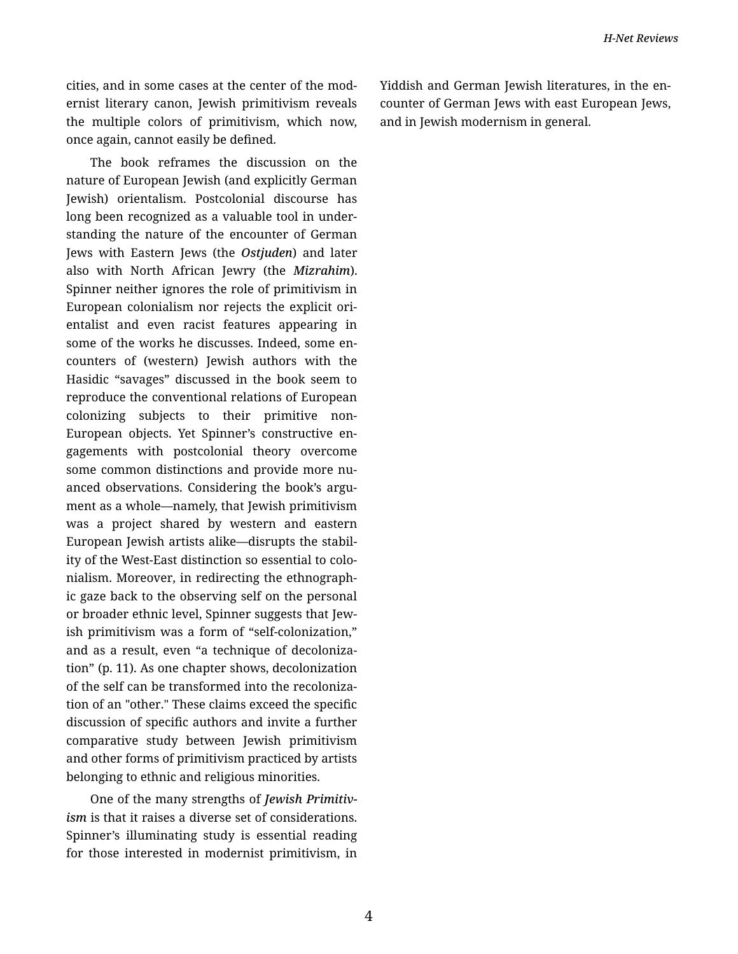cities, and in some cases at the center of the mod‐ ernist literary canon, Jewish primitivism reveals the multiple colors of primitivism, which now, once again, cannot easily be defined.

The book reframes the discussion on the nature of European Jewish (and explicitly German Jewish) orientalism. Postcolonial discourse has long been recognized as a valuable tool in under‐ standing the nature of the encounter of German Jews with Eastern Jews (the *Ostjuden*) and later also with North African Jewry (the *Mizrahim*). Spinner neither ignores the role of primitivism in European colonialism nor rejects the explicit ori‐ entalist and even racist features appearing in some of the works he discusses. Indeed, some encounters of (western) Jewish authors with the Hasidic "savages" discussed in the book seem to reproduce the conventional relations of European colonizing subjects to their primitive non-European objects. Yet Spinner's constructive en‐ gagements with postcolonial theory overcome some common distinctions and provide more nuanced observations. Considering the book's argument as a whole—namely, that Jewish primitivism was a project shared by western and eastern European Jewish artists alike—disrupts the stabil‐ ity of the West-East distinction so essential to colo‐ nialism. Moreover, in redirecting the ethnograph‐ ic gaze back to the observing self on the personal or broader ethnic level, Spinner suggests that Jew‐ ish primitivism was a form of "self-colonization," and as a result, even "a technique of decoloniza‐ tion" (p. 11). As one chapter shows, decolonization of the self can be transformed into the recoloniza‐ tion of an "other." These claims exceed the specific discussion of specific authors and invite a further comparative study between Jewish primitivism and other forms of primitivism practiced by artists belonging to ethnic and religious minorities.

One of the many strengths of *Jewish Primitiv‐* ism is that it raises a diverse set of considerations. Spinner's illuminating study is essential reading for those interested in modernist primitivism, in Yiddish and German Jewish literatures, in the en‐ counter of German Jews with east European Jews, and in Jewish modernism in general.